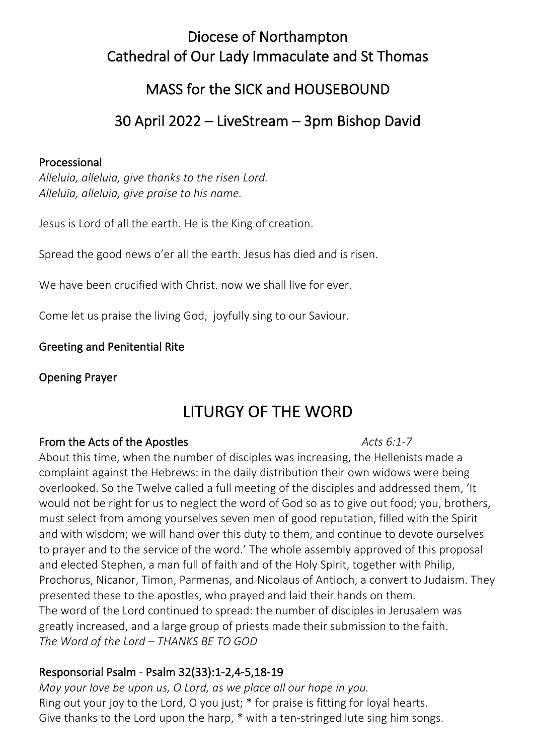## Diocese of Northampton Cathedral of Our Lady Immaculate and St Thomas

## MASS for the SICK and HOUSEBOUND

## 30 April 2022 – LiveStream – 3pm Bishop David

#### Processional

*Alleluia, alleluia, give thanks to the risen Lord. Alleluia, alleluia, give praise to his name.*

Jesus is Lord of all the earth. He is the King of creation.

Spread the good news o'er all the earth. Jesus has died and is risen.

We have been crucified with Christ. now we shall live for ever.

Come let us praise the living God, joyfully sing to our Saviour.

#### Greeting and Penitential Rite

Opening Prayer

## LITURGY OF THE WORD

#### From the Acts of the Apostles *Acts 6:1-7*

About this time, when the number of disciples was increasing, the Hellenists made a complaint against the Hebrews: in the daily distribution their own widows were being overlooked. So the Twelve called a full meeting of the disciples and addressed them, 'It would not be right for us to neglect the word of God so as to give out food; you, brothers, must select from among yourselves seven men of good reputation, filled with the Spirit and with wisdom; we will hand over this duty to them, and continue to devote ourselves to prayer and to the service of the word.' The whole assembly approved of this proposal and elected Stephen, a man full of faith and of the Holy Spirit, together with Philip, Prochorus, Nicanor, Timon, Parmenas, and Nicolaus of Antioch, a convert to Judaism. They presented these to the apostles, who prayed and laid their hands on them. The word of the Lord continued to spread: the number of disciples in Jerusalem was greatly increased, and a large group of priests made their submission to the faith. *The Word of the Lord – THANKS BE TO GOD*

### Responsorial Psalm - Psalm 32(33):1-2,4-5,18-19

*May your love be upon us, O Lord, as we place all our hope in you.* Ring out your joy to the Lord, O you just; \* for praise is fitting for loyal hearts. Give thanks to the Lord upon the harp, \* with a ten-stringed lute sing him songs.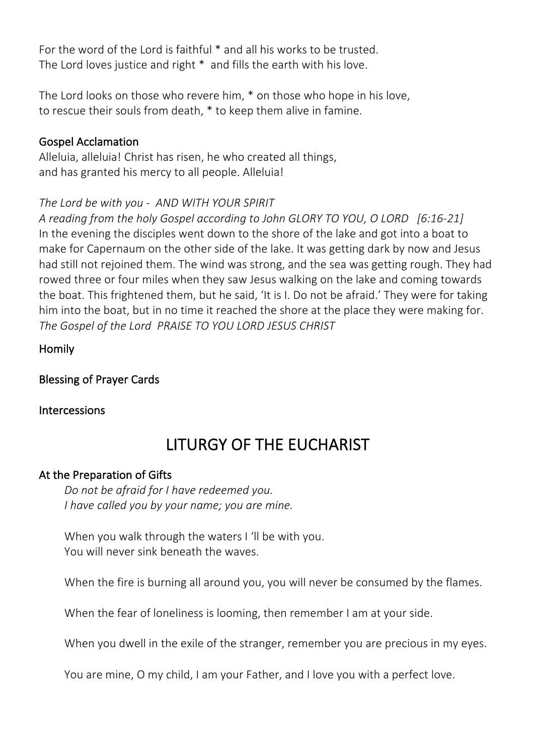For the word of the Lord is faithful \* and all his works to be trusted. The Lord loves justice and right \* and fills the earth with his love.

The Lord looks on those who revere him, \* on those who hope in his love, to rescue their souls from death, \* to keep them alive in famine.

#### Gospel Acclamation

Alleluia, alleluia! Christ has risen, he who created all things, and has granted his mercy to all people. Alleluia!

### *The Lord be with you - AND WITH YOUR SPIRIT*

*A reading from the holy Gospel according to John GLORY TO YOU, O LORD [6:16-21]* In the evening the disciples went down to the shore of the lake and got into a boat to make for Capernaum on the other side of the lake. It was getting dark by now and Jesus had still not rejoined them. The wind was strong, and the sea was getting rough. They had rowed three or four miles when they saw Jesus walking on the lake and coming towards the boat. This frightened them, but he said, 'It is I. Do not be afraid.' They were for taking him into the boat, but in no time it reached the shore at the place they were making for. *The Gospel of the Lord PRAISE TO YOU LORD JESUS CHRIST*

Homily

Blessing of Prayer Cards

**Intercessions** 

# LITURGY OF THE EUCHARIST

#### At the Preparation of Gifts

*Do not be afraid for I have redeemed you. I have called you by your name; you are mine.*

When you walk through the waters I 'll be with you. You will never sink beneath the waves.

When the fire is burning all around you, you will never be consumed by the flames.

When the fear of loneliness is looming, then remember I am at your side.

When you dwell in the exile of the stranger, remember you are precious in my eyes.

You are mine, O my child, I am your Father, and I love you with a perfect love.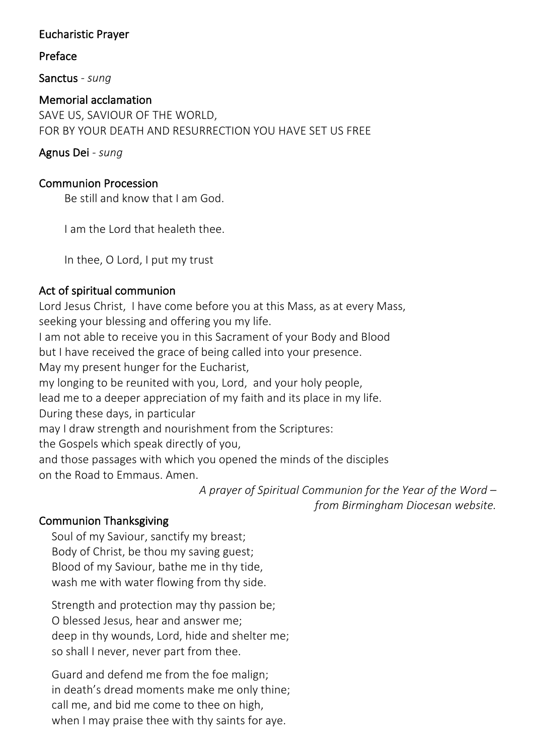#### Eucharistic Prayer

#### Preface

Sanctus *- sung*

Memorial acclamation SAVE US, SAVIOUR OF THE WORLD, FOR BY YOUR DEATH AND RESURRECTION YOU HAVE SET US FREE

Agnus Dei *- sung*

#### Communion Procession

Be still and know that I am God.

I am the Lord that healeth thee.

In thee, O Lord, I put my trust

#### Act of spiritual communion

Lord Jesus Christ, I have come before you at this Mass, as at every Mass, seeking your blessing and offering you my life. I am not able to receive you in this Sacrament of your Body and Blood but I have received the grace of being called into your presence. May my present hunger for the Eucharist, my longing to be reunited with you, Lord, and your holy people, lead me to a deeper appreciation of my faith and its place in my life. During these days, in particular may I draw strength and nourishment from the Scriptures: the Gospels which speak directly of you, and those passages with which you opened the minds of the disciples on the Road to Emmaus. Amen.

*A prayer of Spiritual Communion for the Year of the Word – from Birmingham Diocesan website.*

#### Communion Thanksgiving

Soul of my Saviour, sanctify my breast; Body of Christ, be thou my saving guest; Blood of my Saviour, bathe me in thy tide, wash me with water flowing from thy side.

Strength and protection may thy passion be; O blessed Jesus, hear and answer me; deep in thy wounds, Lord, hide and shelter me; so shall I never, never part from thee.

Guard and defend me from the foe malign; in death's dread moments make me only thine; call me, and bid me come to thee on high, when I may praise thee with thy saints for aye.